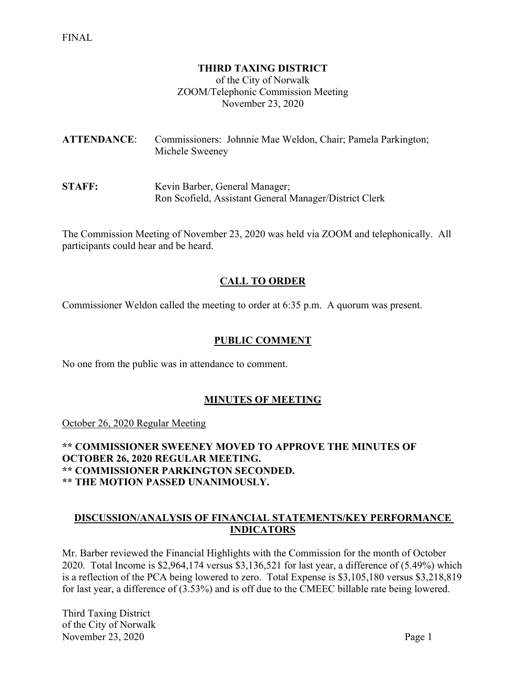#### **THIRD TAXING DISTRICT**

of the City of Norwalk ZOOM/Telephonic Commission Meeting November 23, 2020

**ATTENDANCE**: Commissioners: Johnnie Mae Weldon, Chair; Pamela Parkington; Michele Sweeney

**STAFF:** Kevin Barber, General Manager; Ron Scofield, Assistant General Manager/District Clerk

The Commission Meeting of November 23, 2020 was held via ZOOM and telephonically. All participants could hear and be heard.

## **CALL TO ORDER**

Commissioner Weldon called the meeting to order at 6:35 p.m. A quorum was present.

#### **PUBLIC COMMENT**

No one from the public was in attendance to comment.

#### **MINUTES OF MEETING**

October 26, 2020 Regular Meeting

**\*\* COMMISSIONER SWEENEY MOVED TO APPROVE THE MINUTES OF OCTOBER 26, 2020 REGULAR MEETING. \*\* COMMISSIONER PARKINGTON SECONDED. \*\* THE MOTION PASSED UNANIMOUSLY.**

#### **DISCUSSION/ANALYSIS OF FINANCIAL STATEMENTS/KEY PERFORMANCE INDICATORS**

Mr. Barber reviewed the Financial Highlights with the Commission for the month of October 2020. Total Income is \$2,964,174 versus \$3,136,521 for last year, a difference of (5.49%) which is a reflection of the PCA being lowered to zero. Total Expense is \$3,105,180 versus \$3,218,819 for last year, a difference of (3.53%) and is off due to the CMEEC billable rate being lowered.

Third Taxing District of the City of Norwalk November 23, 2020 Page 1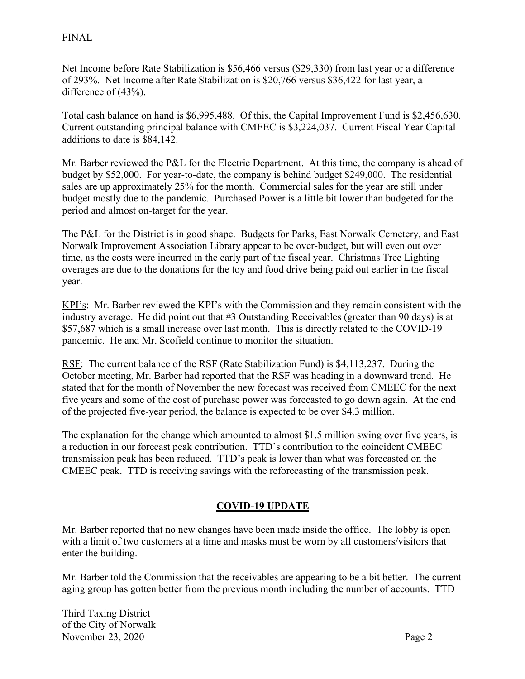## FINAL

Net Income before Rate Stabilization is \$56,466 versus (\$29,330) from last year or a difference of 293%. Net Income after Rate Stabilization is \$20,766 versus \$36,422 for last year, a difference of (43%).

Total cash balance on hand is \$6,995,488. Of this, the Capital Improvement Fund is \$2,456,630. Current outstanding principal balance with CMEEC is \$3,224,037. Current Fiscal Year Capital additions to date is \$84,142.

Mr. Barber reviewed the P&L for the Electric Department. At this time, the company is ahead of budget by \$52,000. For year-to-date, the company is behind budget \$249,000. The residential sales are up approximately 25% for the month. Commercial sales for the year are still under budget mostly due to the pandemic. Purchased Power is a little bit lower than budgeted for the period and almost on-target for the year.

The P&L for the District is in good shape. Budgets for Parks, East Norwalk Cemetery, and East Norwalk Improvement Association Library appear to be over-budget, but will even out over time, as the costs were incurred in the early part of the fiscal year. Christmas Tree Lighting overages are due to the donations for the toy and food drive being paid out earlier in the fiscal year.

KPI's: Mr. Barber reviewed the KPI's with the Commission and they remain consistent with the industry average. He did point out that #3 Outstanding Receivables (greater than 90 days) is at \$57,687 which is a small increase over last month. This is directly related to the COVID-19 pandemic. He and Mr. Scofield continue to monitor the situation.

RSF: The current balance of the RSF (Rate Stabilization Fund) is \$4,113,237. During the October meeting, Mr. Barber had reported that the RSF was heading in a downward trend. He stated that for the month of November the new forecast was received from CMEEC for the next five years and some of the cost of purchase power was forecasted to go down again. At the end of the projected five-year period, the balance is expected to be over \$4.3 million.

The explanation for the change which amounted to almost \$1.5 million swing over five years, is a reduction in our forecast peak contribution. TTD's contribution to the coincident CMEEC transmission peak has been reduced. TTD's peak is lower than what was forecasted on the CMEEC peak. TTD is receiving savings with the reforecasting of the transmission peak.

# **COVID-19 UPDATE**

Mr. Barber reported that no new changes have been made inside the office. The lobby is open with a limit of two customers at a time and masks must be worn by all customers/visitors that enter the building.

Mr. Barber told the Commission that the receivables are appearing to be a bit better. The current aging group has gotten better from the previous month including the number of accounts. TTD

Third Taxing District of the City of Norwalk November 23, 2020 Page 2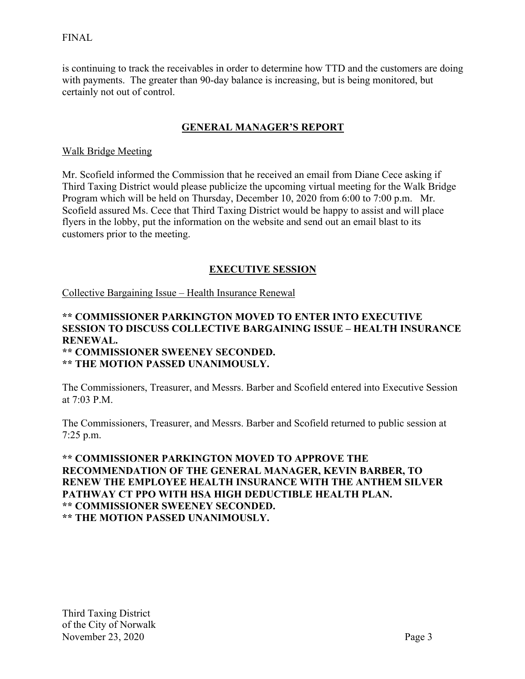## FINAL

is continuing to track the receivables in order to determine how TTD and the customers are doing with payments. The greater than 90-day balance is increasing, but is being monitored, but certainly not out of control.

## **GENERAL MANAGER'S REPORT**

#### Walk Bridge Meeting

Mr. Scofield informed the Commission that he received an email from Diane Cece asking if Third Taxing District would please publicize the upcoming virtual meeting for the Walk Bridge Program which will be held on Thursday, December 10, 2020 from 6:00 to 7:00 p.m. Mr. Scofield assured Ms. Cece that Third Taxing District would be happy to assist and will place flyers in the lobby, put the information on the website and send out an email blast to its customers prior to the meeting.

## **EXECUTIVE SESSION**

Collective Bargaining Issue – Health Insurance Renewal

#### **\*\* COMMISSIONER PARKINGTON MOVED TO ENTER INTO EXECUTIVE SESSION TO DISCUSS COLLECTIVE BARGAINING ISSUE – HEALTH INSURANCE RENEWAL. \*\* COMMISSIONER SWEENEY SECONDED. \*\* THE MOTION PASSED UNANIMOUSLY.**

The Commissioners, Treasurer, and Messrs. Barber and Scofield entered into Executive Session at 7:03 P.M.

The Commissioners, Treasurer, and Messrs. Barber and Scofield returned to public session at 7:25 p.m.

## **\*\* COMMISSIONER PARKINGTON MOVED TO APPROVE THE RECOMMENDATION OF THE GENERAL MANAGER, KEVIN BARBER, TO RENEW THE EMPLOYEE HEALTH INSURANCE WITH THE ANTHEM SILVER PATHWAY CT PPO WITH HSA HIGH DEDUCTIBLE HEALTH PLAN. \*\* COMMISSIONER SWEENEY SECONDED. \*\* THE MOTION PASSED UNANIMOUSLY.**